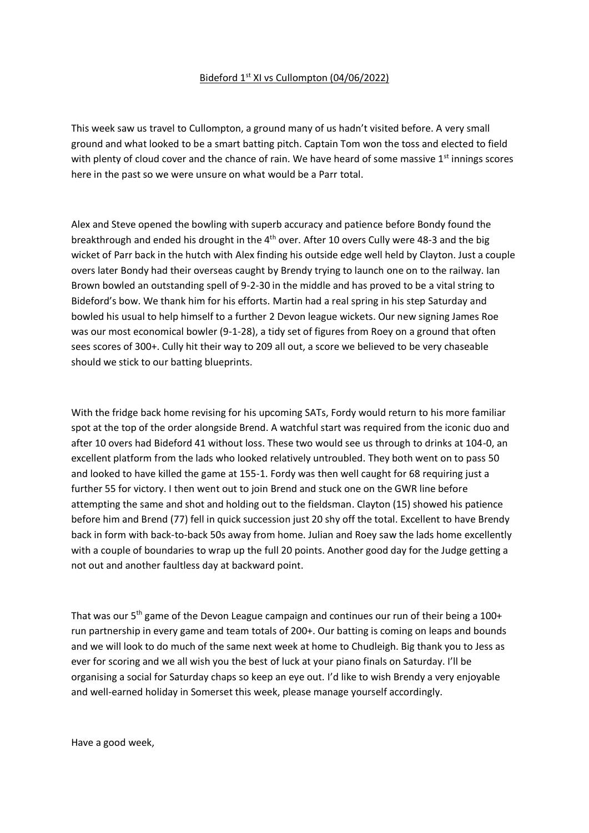## Bideford 1st XI vs Cullompton (04/06/2022)

This week saw us travel to Cullompton, a ground many of us hadn't visited before. A very small ground and what looked to be a smart batting pitch. Captain Tom won the toss and elected to field with plenty of cloud cover and the chance of rain. We have heard of some massive 1<sup>st</sup> innings scores here in the past so we were unsure on what would be a Parr total.

Alex and Steve opened the bowling with superb accuracy and patience before Bondy found the breakthrough and ended his drought in the 4th over. After 10 overs Cully were 48-3 and the big wicket of Parr back in the hutch with Alex finding his outside edge well held by Clayton. Just a couple overs later Bondy had their overseas caught by Brendy trying to launch one on to the railway. Ian Brown bowled an outstanding spell of 9-2-30 in the middle and has proved to be a vital string to Bideford's bow. We thank him for his efforts. Martin had a real spring in his step Saturday and bowled his usual to help himself to a further 2 Devon league wickets. Our new signing James Roe was our most economical bowler (9-1-28), a tidy set of figures from Roey on a ground that often sees scores of 300+. Cully hit their way to 209 all out, a score we believed to be very chaseable should we stick to our batting blueprints.

With the fridge back home revising for his upcoming SATs, Fordy would return to his more familiar spot at the top of the order alongside Brend. A watchful start was required from the iconic duo and after 10 overs had Bideford 41 without loss. These two would see us through to drinks at 104-0, an excellent platform from the lads who looked relatively untroubled. They both went on to pass 50 and looked to have killed the game at 155-1. Fordy was then well caught for 68 requiring just a further 55 for victory. I then went out to join Brend and stuck one on the GWR line before attempting the same and shot and holding out to the fieldsman. Clayton (15) showed his patience before him and Brend (77) fell in quick succession just 20 shy off the total. Excellent to have Brendy back in form with back-to-back 50s away from home. Julian and Roey saw the lads home excellently with a couple of boundaries to wrap up the full 20 points. Another good day for the Judge getting a not out and another faultless day at backward point.

That was our  $5<sup>th</sup>$  game of the Devon League campaign and continues our run of their being a 100+ run partnership in every game and team totals of 200+. Our batting is coming on leaps and bounds and we will look to do much of the same next week at home to Chudleigh. Big thank you to Jess as ever for scoring and we all wish you the best of luck at your piano finals on Saturday. I'll be organising a social for Saturday chaps so keep an eye out. I'd like to wish Brendy a very enjoyable and well-earned holiday in Somerset this week, please manage yourself accordingly.

Have a good week,